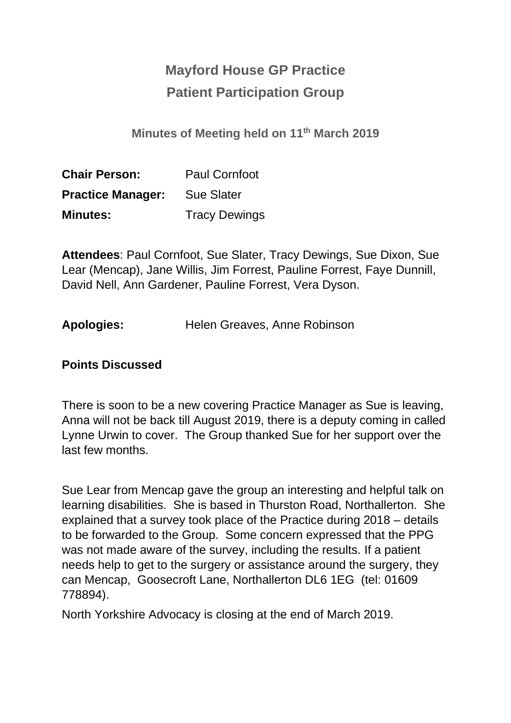## **Mayford House GP Practice Patient Participation Group**

**Minutes of Meeting held on 11th March 2019**

| <b>Chair Person:</b>     | <b>Paul Cornfoot</b> |  |
|--------------------------|----------------------|--|
| <b>Practice Manager:</b> | <b>Sue Slater</b>    |  |
| <b>Minutes:</b>          | <b>Tracy Dewings</b> |  |

**Attendees**: Paul Cornfoot, Sue Slater, Tracy Dewings, Sue Dixon, Sue Lear (Mencap), Jane Willis, Jim Forrest, Pauline Forrest, Faye Dunnill, David Nell, Ann Gardener, Pauline Forrest, Vera Dyson.

| <b>Apologies:</b> | Helen Greaves, Anne Robinson |  |
|-------------------|------------------------------|--|
|-------------------|------------------------------|--|

## **Points Discussed**

There is soon to be a new covering Practice Manager as Sue is leaving, Anna will not be back till August 2019, there is a deputy coming in called Lynne Urwin to cover. The Group thanked Sue for her support over the last few months.

Sue Lear from Mencap gave the group an interesting and helpful talk on learning disabilities. She is based in Thurston Road, Northallerton. She explained that a survey took place of the Practice during 2018 – details to be forwarded to the Group. Some concern expressed that the PPG was not made aware of the survey, including the results. If a patient needs help to get to the surgery or assistance around the surgery, they can Mencap, Goosecroft Lane, Northallerton DL6 1EG (tel: 01609 778894).

North Yorkshire Advocacy is closing at the end of March 2019.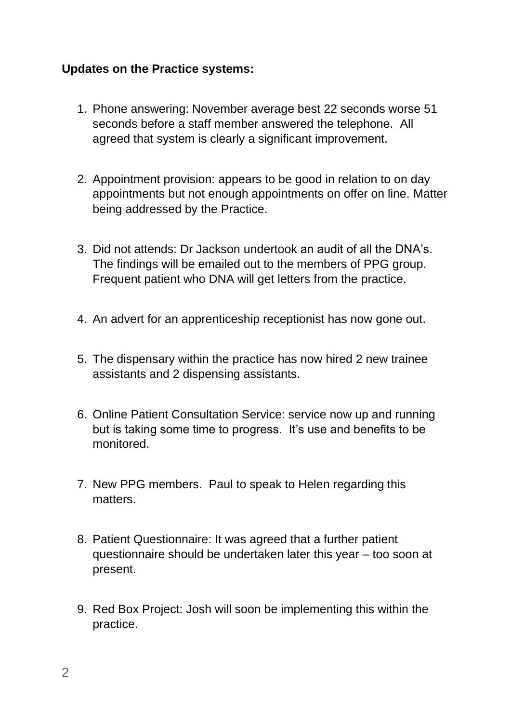## **Updates on the Practice systems:**

- 1. Phone answering: November average best 22 seconds worse 51 seconds before a staff member answered the telephone. All agreed that system is clearly a significant improvement.
- 2. Appointment provision: appears to be good in relation to on day appointments but not enough appointments on offer on line. Matter being addressed by the Practice.
- 3. Did not attends: Dr Jackson undertook an audit of all the DNA's. The findings will be emailed out to the members of PPG group. Frequent patient who DNA will get letters from the practice.
- 4. An advert for an apprenticeship receptionist has now gone out.
- 5. The dispensary within the practice has now hired 2 new trainee assistants and 2 dispensing assistants.
- 6. Online Patient Consultation Service: service now up and running but is taking some time to progress. It's use and benefits to be monitored.
- 7. New PPG members. Paul to speak to Helen regarding this matters.
- 8. Patient Questionnaire: It was agreed that a further patient questionnaire should be undertaken later this year – too soon at present.
- 9. Red Box Project: Josh will soon be implementing this within the practice.